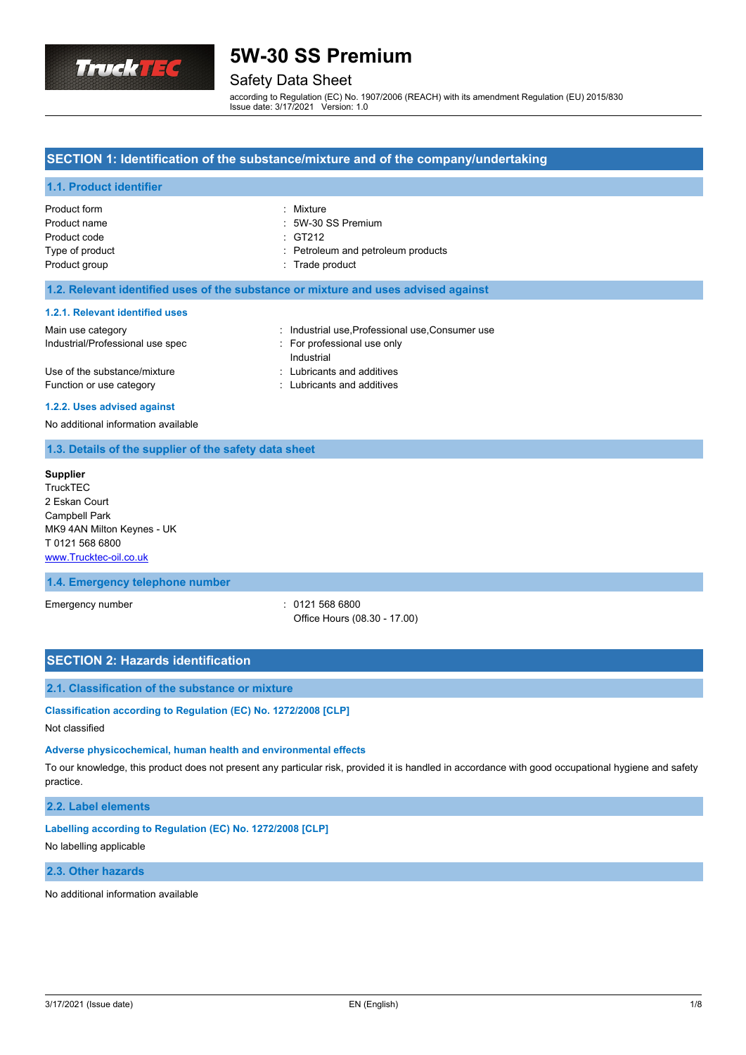

### Safety Data Sheet

according to Regulation (EC) No. 1907/2006 (REACH) with its amendment Regulation (EU) 2015/830 Issue date: 3/17/2021 Version: 1.0

### **SECTION 1: Identification of the substance/mixture and of the company/undertaking**

### **1.1. Product identifier**

| Product form<br>Product name | : Mixture<br>: 5W-30 SS Premium    |
|------------------------------|------------------------------------|
| Product code                 | $\div$ GT212                       |
| Type of product              | : Petroleum and petroleum products |
| Product group                | : Trade product                    |

### **1.2. Relevant identified uses of the substance or mixture and uses advised against**

#### **1.2.1. Relevant identified uses**

| Main use category                | : Industrial use, Professional use, Consumer use |
|----------------------------------|--------------------------------------------------|
| Industrial/Professional use spec | For professional use only                        |
|                                  | Industrial                                       |
| Use of the substance/mixture     | : Lubricants and additives                       |
| Function or use category         | : Lubricants and additives                       |

#### **1.2.2. Uses advised against**

No additional information available

### **1.3. Details of the supplier of the safety data sheet**

| <b>Supplier</b>            |
|----------------------------|
| <b>TruckTEC</b>            |
| 2 Eskan Court              |
| <b>Campbell Park</b>       |
| MK9 4AN Milton Keynes - UK |
| T 0121 568 6800            |
| www.Trucktec-oil.co.uk     |

### **1.4. Emergency telephone number**

Emergency number : 0121 568 6800

Office Hours (08.30 - 17.00)

### **SECTION 2: Hazards identification**

### **2.1. Classification of the substance or mixture**

# **Classification according to Regulation (EC) No. 1272/2008 [CLP]**

Not classified

### **Adverse physicochemical, human health and environmental effects**

To our knowledge, this product does not present any particular risk, provided it is handled in accordance with good occupational hygiene and safety practice.

### **2.2. Label elements**

**Labelling according to Regulation (EC) No. 1272/2008 [CLP]**

#### No labelling applicable

### **2.3. Other hazards**

No additional information available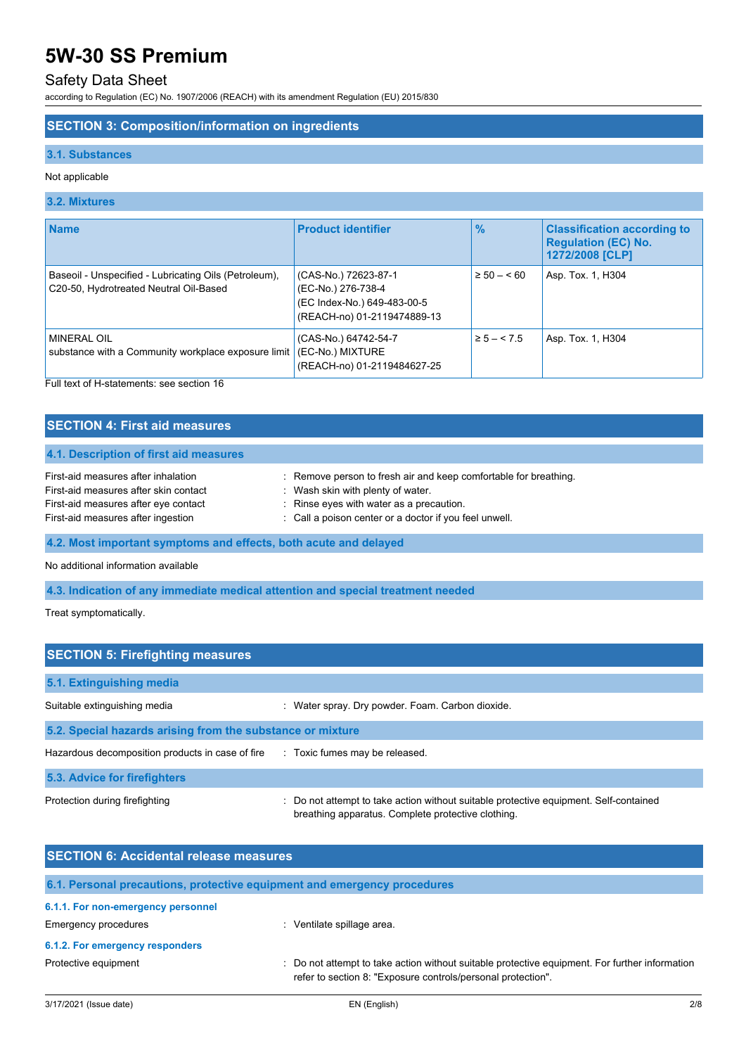# Safety Data Sheet

according to Regulation (EC) No. 1907/2006 (REACH) with its amendment Regulation (EU) 2015/830

## **SECTION 3: Composition/information on ingredients**

### **3.1. Substances**

### Not applicable

### **3.2. Mixtures**

| <b>Name</b>                                                                                     | <b>Product identifier</b>                                                                                | $\frac{9}{6}$  | <b>Classification according to</b><br><b>Regulation (EC) No.</b><br>1272/2008 [CLP] |
|-------------------------------------------------------------------------------------------------|----------------------------------------------------------------------------------------------------------|----------------|-------------------------------------------------------------------------------------|
| Baseoil - Unspecified - Lubricating Oils (Petroleum),<br>C20-50, Hydrotreated Neutral Oil-Based | (CAS-No.) 72623-87-1<br>(EC-No.) 276-738-4<br>(EC Index-No.) 649-483-00-5<br>(REACH-no) 01-2119474889-13 | $\geq 50 - 60$ | Asp. Tox. 1, H304                                                                   |
| <b>MINERAL OIL</b><br>substance with a Community workplace exposure limit                       | (CAS-No.) 64742-54-7<br>(EC-No.) MIXTURE<br>(REACH-no) 01-2119484627-25                                  | $\ge 5 - 5.5$  | Asp. Tox. 1, H304                                                                   |

Full text of H-statements: see section 16

| <b>SECTION 4: First aid measures</b>                                                                                                                       |                                                                                                                                                                                                             |  |  |
|------------------------------------------------------------------------------------------------------------------------------------------------------------|-------------------------------------------------------------------------------------------------------------------------------------------------------------------------------------------------------------|--|--|
| 4.1. Description of first aid measures                                                                                                                     |                                                                                                                                                                                                             |  |  |
| First-aid measures after inhalation<br>First-aid measures after skin contact<br>First-aid measures after eye contact<br>First-aid measures after ingestion | : Remove person to fresh air and keep comfortable for breathing.<br>: Wash skin with plenty of water.<br>: Rinse eyes with water as a precaution.<br>: Call a poison center or a doctor if you feel unwell. |  |  |
| 4.2. Most important symptoms and effects, both acute and delayed                                                                                           |                                                                                                                                                                                                             |  |  |
| No additional information available                                                                                                                        |                                                                                                                                                                                                             |  |  |

**4.3. Indication of any immediate medical attention and special treatment needed**

Treat symptomatically.

| <b>SECTION 5: Firefighting measures</b>                    |                                                                                                                                           |  |  |
|------------------------------------------------------------|-------------------------------------------------------------------------------------------------------------------------------------------|--|--|
| 5.1. Extinguishing media                                   |                                                                                                                                           |  |  |
| Suitable extinguishing media                               | Water spray. Dry powder. Foam. Carbon dioxide.                                                                                            |  |  |
| 5.2. Special hazards arising from the substance or mixture |                                                                                                                                           |  |  |
| Hazardous decomposition products in case of fire           | : Toxic fumes may be released.                                                                                                            |  |  |
| 5.3. Advice for firefighters                               |                                                                                                                                           |  |  |
| Protection during firefighting                             | Do not attempt to take action without suitable protective equipment. Self-contained<br>breathing apparatus. Complete protective clothing. |  |  |

| <b>SECTION 6: Accidental release measures</b> |                                                                                                                                                                |  |  |
|-----------------------------------------------|----------------------------------------------------------------------------------------------------------------------------------------------------------------|--|--|
|                                               | 6.1. Personal precautions, protective equipment and emergency procedures                                                                                       |  |  |
| 6.1.1. For non-emergency personnel            |                                                                                                                                                                |  |  |
| <b>Emergency procedures</b>                   | Ventilate spillage area.                                                                                                                                       |  |  |
| 6.1.2. For emergency responders               |                                                                                                                                                                |  |  |
| Protective equipment                          | : Do not attempt to take action without suitable protective equipment. For further information<br>refer to section 8: "Exposure controls/personal protection". |  |  |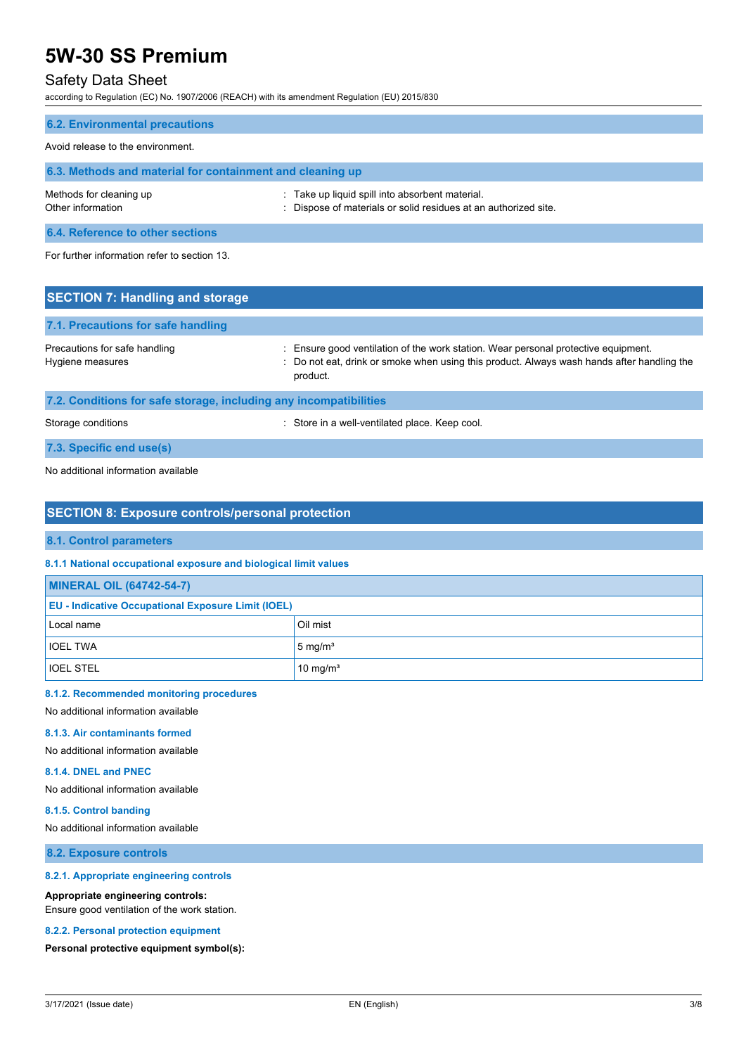## Safety Data Sheet

according to Regulation (EC) No. 1907/2006 (REACH) with its amendment Regulation (EU) 2015/830

| <b>6.2. Environmental precautions</b>                     |                                                                                                                    |
|-----------------------------------------------------------|--------------------------------------------------------------------------------------------------------------------|
| Avoid release to the environment.                         |                                                                                                                    |
| 6.3. Methods and material for containment and cleaning up |                                                                                                                    |
| Methods for cleaning up<br>Other information              | : Take up liquid spill into absorbent material.<br>: Dispose of materials or solid residues at an authorized site. |
| 6.4. Reference to other sections                          |                                                                                                                    |
| For further information refer to section 13.              |                                                                                                                    |
| <b>SECTION 7: Handling and storage</b>                    |                                                                                                                    |

| 7.1. Precautions for safe handling                                |                                                                                                                                                                                              |
|-------------------------------------------------------------------|----------------------------------------------------------------------------------------------------------------------------------------------------------------------------------------------|
| Precautions for safe handling<br>Hygiene measures                 | : Ensure good ventilation of the work station. Wear personal protective equipment.<br>: Do not eat, drink or smoke when using this product. Always wash hands after handling the<br>product. |
| 7.2. Conditions for safe storage, including any incompatibilities |                                                                                                                                                                                              |

Storage conditions **Storage conditions** : Store in a well-ventilated place. Keep cool.

**7.3. Specific end use(s)**

No additional information available

### **SECTION 8: Exposure controls/personal protection**

### **8.1. Control parameters**

**8.1.1 National occupational exposure and biological limit values**

| <b>MINERAL OIL (64742-54-7)</b>                           |                    |  |  |
|-----------------------------------------------------------|--------------------|--|--|
| <b>EU - Indicative Occupational Exposure Limit (IOEL)</b> |                    |  |  |
| Local name                                                | Oil mist           |  |  |
| <b>IOEL TWA</b>                                           | $5 \text{ mg/m}^3$ |  |  |
| <b>IOEL STEL</b>                                          | 10 mg/ $m3$        |  |  |

### **8.1.2. Recommended monitoring procedures**

No additional information available

### **8.1.3. Air contaminants formed**

No additional information available

### **8.1.4. DNEL and PNEC**

No additional information available

### **8.1.5. Control banding**

No additional information available

**8.2. Exposure controls**

### **8.2.1. Appropriate engineering controls**

### **Appropriate engineering controls:**

Ensure good ventilation of the work station.

#### **8.2.2. Personal protection equipment**

**Personal protective equipment symbol(s):**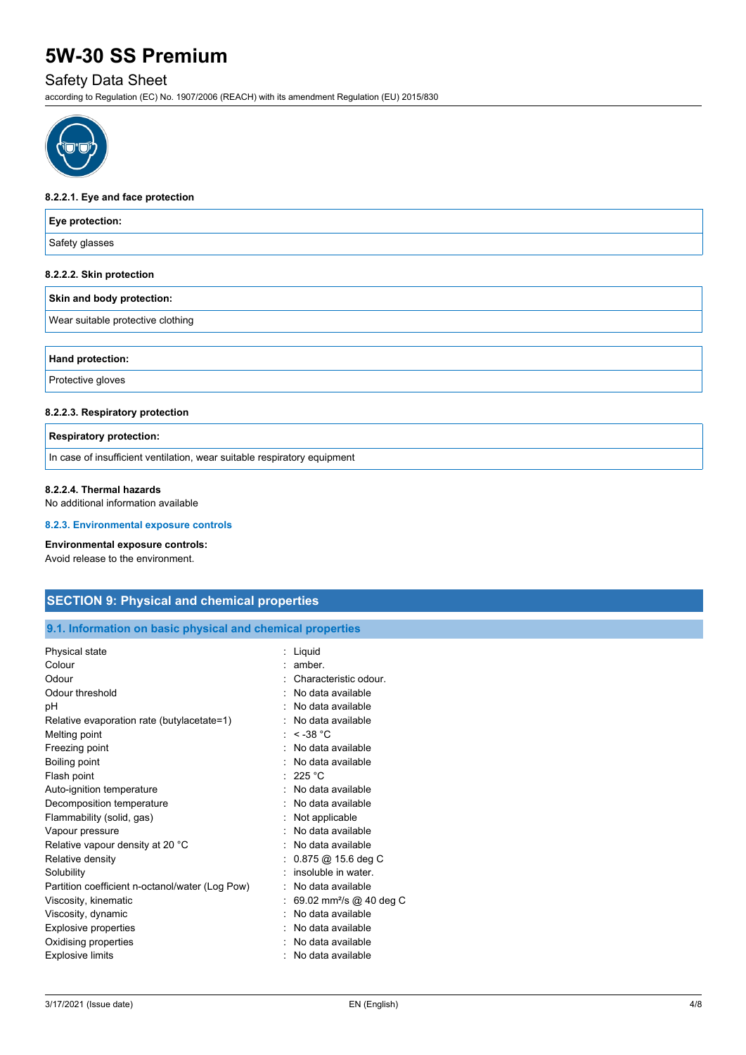# Safety Data Sheet

according to Regulation (EC) No. 1907/2006 (REACH) with its amendment Regulation (EU) 2015/830



#### **8.2.2.1. Eye and face protection**

| Eye protection:                                                          |  |
|--------------------------------------------------------------------------|--|
| Safety glasses                                                           |  |
| 8.2.2.2. Skin protection                                                 |  |
| Skin and body protection:                                                |  |
| Wear suitable protective clothing                                        |  |
| Hand protection:                                                         |  |
| Protective gloves                                                        |  |
| 8.2.2.3. Respiratory protection                                          |  |
| <b>Respiratory protection:</b>                                           |  |
| In case of insufficient ventilation, wear suitable respiratory equipment |  |

No additional information available

#### **8.2.3. Environmental exposure controls**

#### **Environmental exposure controls:**

Avoid release to the environment.

## **SECTION 9: Physical and chemical properties**

## **9.1. Information on basic physical and chemical properties**

| Physical state                                  | Liquid                              |
|-------------------------------------------------|-------------------------------------|
| Colour                                          | amber                               |
| Odour                                           | Characteristic odour.               |
| Odour threshold                                 | No data available                   |
| рH                                              | No data available                   |
| Relative evaporation rate (butylacetate=1)      | No data available                   |
| Melting point                                   | $\le$ -38 °C                        |
| Freezing point                                  | No data available                   |
| Boiling point                                   | : No data available                 |
| Flash point                                     | : 225 °C                            |
| Auto-ignition temperature                       | No data available                   |
| Decomposition temperature                       | : No data available                 |
| Flammability (solid, gas)                       | Not applicable                      |
| Vapour pressure                                 | No data available                   |
| Relative vapour density at 20 °C                | No data available                   |
| Relative density                                | $0.875$ @ 15.6 deg C                |
| Solubility                                      | insoluble in water.                 |
| Partition coefficient n-octanol/water (Log Pow) | No data available                   |
| Viscosity, kinematic                            | 69.02 mm <sup>2</sup> /s @ 40 deg C |
| Viscosity, dynamic                              | No data available                   |
| <b>Explosive properties</b>                     | No data available                   |
| Oxidising properties                            | No data available                   |
| <b>Explosive limits</b>                         | No data available                   |
|                                                 |                                     |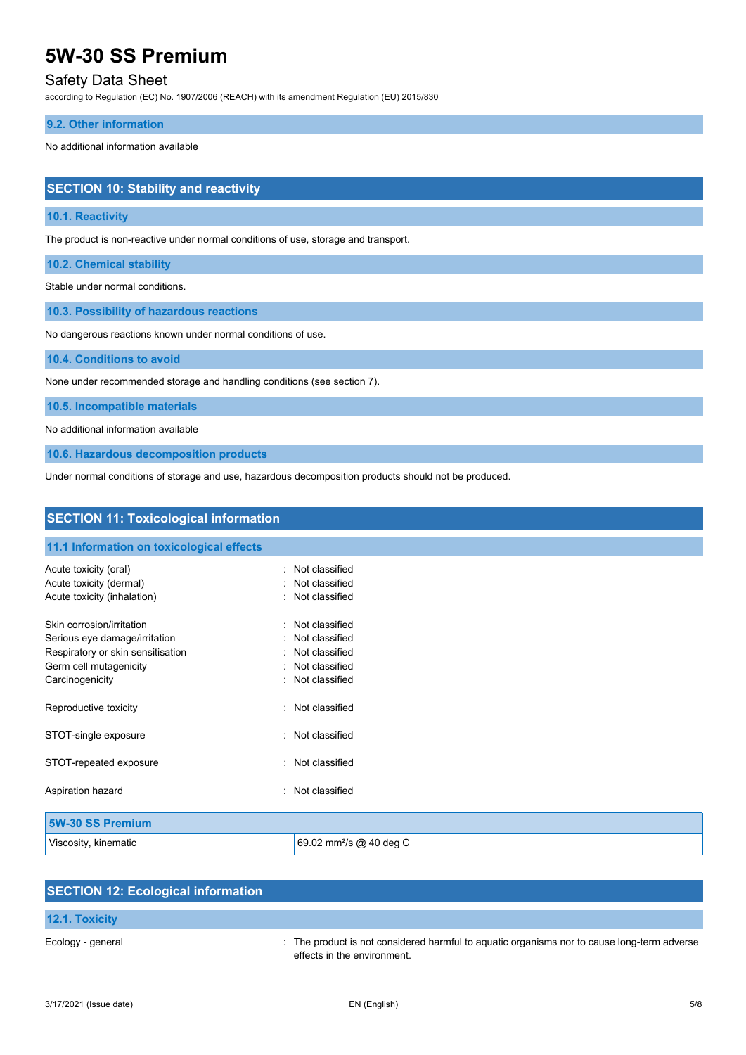## Safety Data Sheet

according to Regulation (EC) No. 1907/2006 (REACH) with its amendment Regulation (EU) 2015/830

### **9.2. Other information**

No additional information available

## **SECTION 10: Stability and reactivity**

### **10.1. Reactivity**

The product is non-reactive under normal conditions of use, storage and transport.

**10.2. Chemical stability**

Stable under normal conditions.

**10.3. Possibility of hazardous reactions**

No dangerous reactions known under normal conditions of use.

**10.4. Conditions to avoid**

None under recommended storage and handling conditions (see section 7).

**10.5. Incompatible materials**

No additional information available

**10.6. Hazardous decomposition products**

Under normal conditions of storage and use, hazardous decomposition products should not be produced.

| <b>SECTION 11: Toxicological information</b>                                                                                                                                                                                   |                             |  |
|--------------------------------------------------------------------------------------------------------------------------------------------------------------------------------------------------------------------------------|-----------------------------|--|
| 11.1 Information on toxicological effects                                                                                                                                                                                      |                             |  |
| Acute toxicity (oral)                                                                                                                                                                                                          | Not classified<br>٠         |  |
| Acute toxicity (dermal)                                                                                                                                                                                                        | Not classified<br>۰         |  |
| Acute toxicity (inhalation)                                                                                                                                                                                                    | Not classified<br>٠         |  |
| Skin corrosion/irritation                                                                                                                                                                                                      | Not classified<br>t.        |  |
| Serious eye damage/irritation                                                                                                                                                                                                  | Not classified<br>٠         |  |
| Respiratory or skin sensitisation                                                                                                                                                                                              | Not classified<br>÷         |  |
| Germ cell mutagenicity                                                                                                                                                                                                         | Not classified<br>۰         |  |
| Carcinogenicity                                                                                                                                                                                                                | Not classified<br>۰         |  |
| Reproductive toxicity                                                                                                                                                                                                          | Not classified<br>$\bullet$ |  |
| STOT-single exposure                                                                                                                                                                                                           | Not classified<br>۰         |  |
| STOT-repeated exposure                                                                                                                                                                                                         | Not classified<br>٠         |  |
| Aspiration hazard                                                                                                                                                                                                              | Not classified<br>۰         |  |
| $M$ as $A$ $A$ $B$ $A$ $B$ $A$ $A$ $A$ $A$ $A$ $A$ $A$ $B$ $A$ $B$ $A$ $B$ $A$ $B$ $A$ $B$ $A$ $B$ $A$ $B$ $B$ $A$ $B$ $B$ $A$ $B$ $B$ $A$ $B$ $B$ $B$ $A$ $B$ $B$ $B$ $B$ $B$ $B$ $B$ $B$ $B$ $C$ $C$ $D$ $D$ $D$ $D$ $D$ $D$ |                             |  |

| <b>5W-30 SS Premium</b> |                                     |
|-------------------------|-------------------------------------|
| Viscosity, kinematic    | 69.02 mm <sup>2</sup> /s @ 40 deg C |

| <b>SECTION 12: Ecological information</b> |                                                                                                                            |
|-------------------------------------------|----------------------------------------------------------------------------------------------------------------------------|
| <b>12.1. Toxicity</b>                     |                                                                                                                            |
| Ecology - general                         | : The product is not considered harmful to aquatic organisms nor to cause long-term adverse<br>effects in the environment. |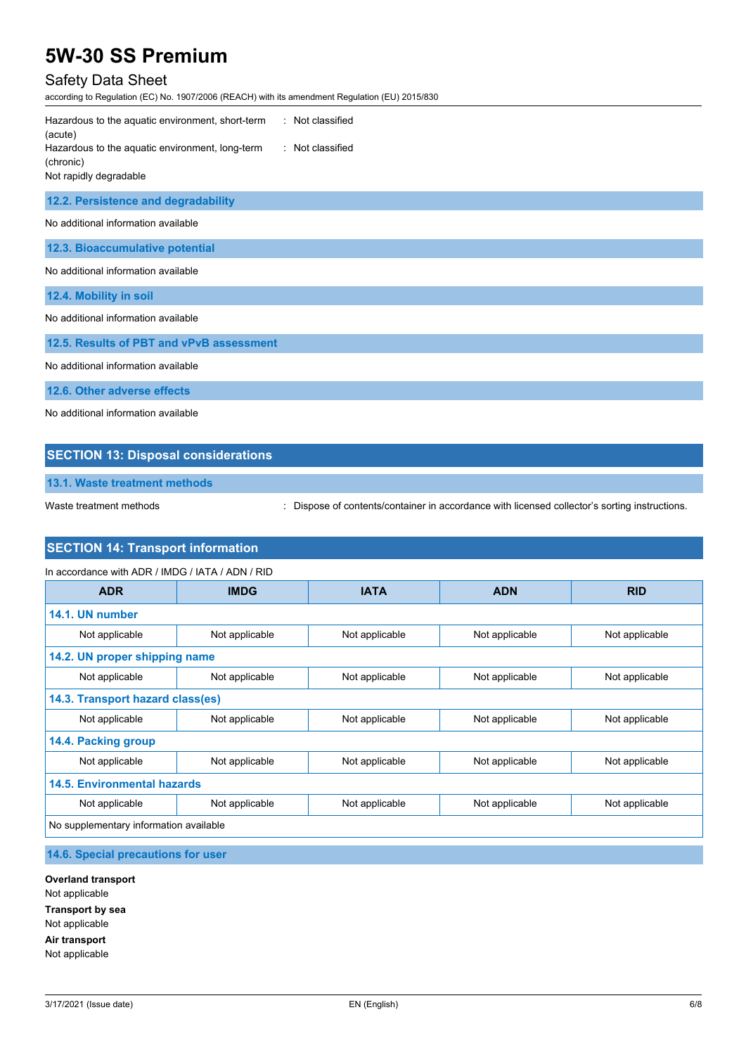# Safety Data Sheet

according to Regulation (EC) No. 1907/2006 (REACH) with its amendment Regulation (EU) 2015/830

| : Not classified<br>Hazardous to the aquatic environment, short-term<br>(acute)  |
|----------------------------------------------------------------------------------|
| : Not classified<br>Hazardous to the aquatic environment, long-term<br>(chronic) |
| Not rapidly degradable                                                           |
| 12.2. Persistence and degradability                                              |
| No additional information available                                              |
| 12.3. Bioaccumulative potential                                                  |
| No additional information available                                              |
| 12.4. Mobility in soil                                                           |
| No additional information available                                              |
| 12.5. Results of PBT and vPvB assessment                                         |
| No additional information available                                              |
| 12.6. Other adverse effects                                                      |
| No additional information available                                              |

### **SECTION 13: Disposal considerations**

**13.1. Waste treatment methods**

Waste treatment methods : Dispose of contents/container in accordance with licensed collector's sorting instructions.

# **SECTION 14: Transport information**

| In accordance with ADR / IMDG / IATA / ADN / RID |                |                |                |                |
|--------------------------------------------------|----------------|----------------|----------------|----------------|
| <b>ADR</b>                                       | <b>IMDG</b>    | <b>IATA</b>    | <b>ADN</b>     | <b>RID</b>     |
| 14.1. UN number                                  |                |                |                |                |
| Not applicable                                   | Not applicable | Not applicable | Not applicable | Not applicable |
| 14.2. UN proper shipping name                    |                |                |                |                |
| Not applicable                                   | Not applicable | Not applicable | Not applicable | Not applicable |
| 14.3. Transport hazard class(es)                 |                |                |                |                |
| Not applicable                                   | Not applicable | Not applicable | Not applicable | Not applicable |
| 14.4. Packing group                              |                |                |                |                |
| Not applicable                                   | Not applicable | Not applicable | Not applicable | Not applicable |
| <b>14.5. Environmental hazards</b>               |                |                |                |                |
| Not applicable                                   | Not applicable | Not applicable | Not applicable | Not applicable |
| No supplementary information available           |                |                |                |                |

## **14.6. Special precautions for user**

**Overland transport** Not applicable **Transport by sea** Not applicable **Air transport** Not applicable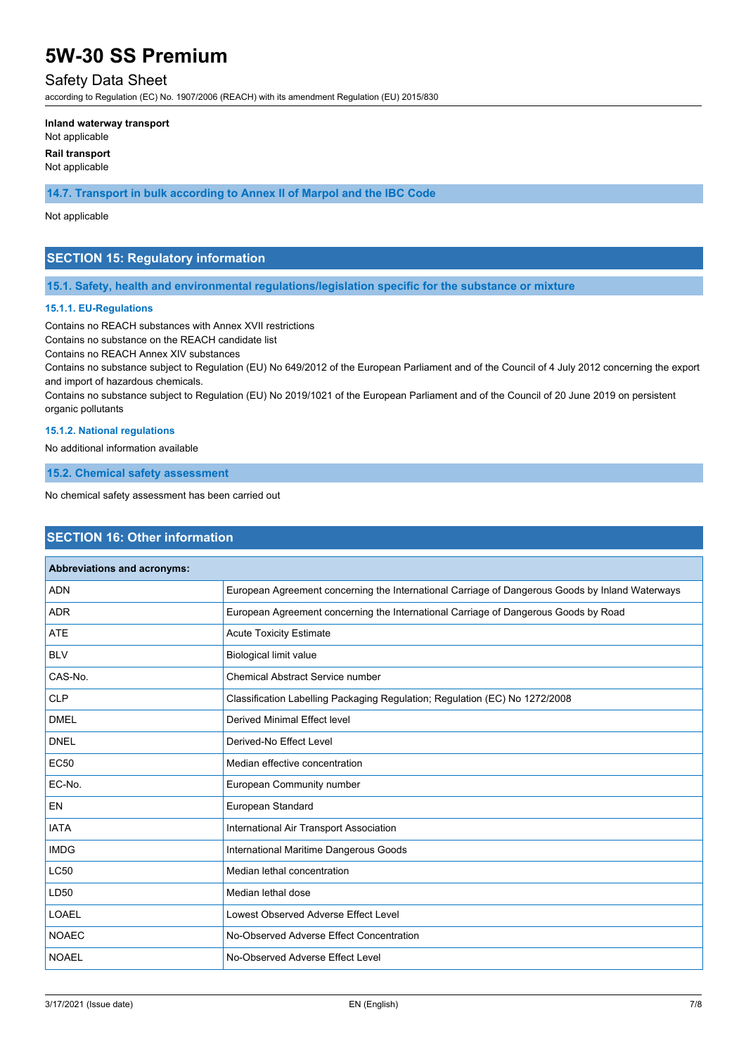### Safety Data Sheet

according to Regulation (EC) No. 1907/2006 (REACH) with its amendment Regulation (EU) 2015/830

#### **Inland waterway transport**

Not applicable

**Rail transport**

Not applicable

**14.7. Transport in bulk according to Annex II of Marpol and the IBC Code**

### Not applicable

## **SECTION 15: Regulatory information**

### **15.1. Safety, health and environmental regulations/legislation specific for the substance or mixture**

### **15.1.1. EU-Regulations**

Contains no REACH substances with Annex XVII restrictions

Contains no substance on the REACH candidate list

Contains no REACH Annex XIV substances

Contains no substance subject to Regulation (EU) No 649/2012 of the European Parliament and of the Council of 4 July 2012 concerning the export and import of hazardous chemicals.

Contains no substance subject to Regulation (EU) No 2019/1021 of the European Parliament and of the Council of 20 June 2019 on persistent organic pollutants

### **15.1.2. National regulations**

No additional information available

**15.2. Chemical safety assessment**

No chemical safety assessment has been carried out

## **SECTION 16: Other information**

| Abbreviations and acronyms: |                                                                                                 |
|-----------------------------|-------------------------------------------------------------------------------------------------|
| <b>ADN</b>                  | European Agreement concerning the International Carriage of Dangerous Goods by Inland Waterways |
| <b>ADR</b>                  | European Agreement concerning the International Carriage of Dangerous Goods by Road             |
| <b>ATE</b>                  | <b>Acute Toxicity Estimate</b>                                                                  |
| <b>BLV</b>                  | <b>Biological limit value</b>                                                                   |
| CAS-No.                     | <b>Chemical Abstract Service number</b>                                                         |
| <b>CLP</b>                  | Classification Labelling Packaging Regulation; Regulation (EC) No 1272/2008                     |
| <b>DMEL</b>                 | <b>Derived Minimal Effect level</b>                                                             |
| <b>DNEL</b>                 | Derived-No Effect Level                                                                         |
| <b>EC50</b>                 | Median effective concentration                                                                  |
| EC-No.                      | European Community number                                                                       |
| <b>EN</b>                   | European Standard                                                                               |
| <b>IATA</b>                 | International Air Transport Association                                                         |
| <b>IMDG</b>                 | International Maritime Dangerous Goods                                                          |
| <b>LC50</b>                 | Median lethal concentration                                                                     |
| LD50                        | Median lethal dose                                                                              |
| LOAEL                       | Lowest Observed Adverse Effect Level                                                            |
| <b>NOAEC</b>                | No-Observed Adverse Effect Concentration                                                        |
| <b>NOAEL</b>                | No-Observed Adverse Effect Level                                                                |